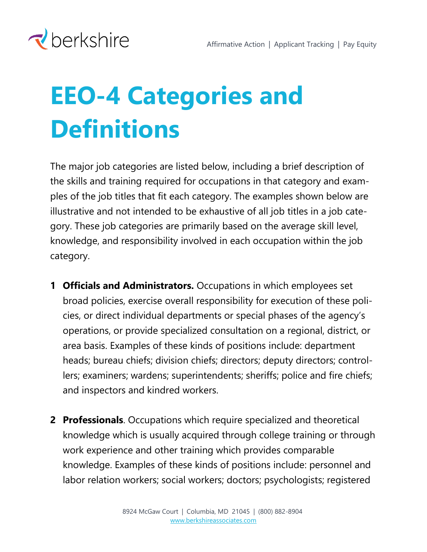

## **EEO-4 Categories and Definitions**

The major job categories are listed below, including a brief description of the skills and training required for occupations in that category and examples of the job titles that fit each category. The examples shown below are illustrative and not intended to be exhaustive of all job titles in a job category. These job categories are primarily based on the average skill level, knowledge, and responsibility involved in each occupation within the job category.

- **1 Officials and Administrators.** Occupations in which employees set broad policies, exercise overall responsibility for execution of these policies, or direct individual departments or special phases of the agency's operations, or provide specialized consultation on a regional, district, or area basis. Examples of these kinds of positions include: department heads; bureau chiefs; division chiefs; directors; deputy directors; controllers; examiners; wardens; superintendents; sheriffs; police and fire chiefs; and inspectors and kindred workers.
- **2 Professionals**. Occupations which require specialized and theoretical knowledge which is usually acquired through college training or through work experience and other training which provides comparable knowledge. Examples of these kinds of positions include: personnel and labor relation workers; social workers; doctors; psychologists; registered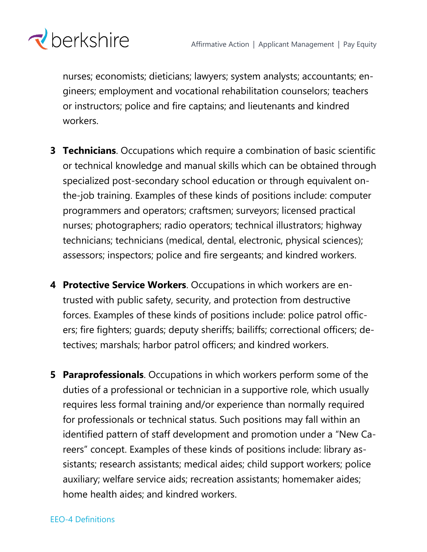

nurses; economists; dieticians; lawyers; system analysts; accountants; engineers; employment and vocational rehabilitation counselors; teachers or instructors; police and fire captains; and lieutenants and kindred workers.

- **3 Technicians**. Occupations which require a combination of basic scientific or technical knowledge and manual skills which can be obtained through specialized post-secondary school education or through equivalent onthe-job training. Examples of these kinds of positions include: computer programmers and operators; craftsmen; surveyors; licensed practical nurses; photographers; radio operators; technical illustrators; highway technicians; technicians (medical, dental, electronic, physical sciences); assessors; inspectors; police and fire sergeants; and kindred workers.
- **4 Protective Service Workers**. Occupations in which workers are entrusted with public safety, security, and protection from destructive forces. Examples of these kinds of positions include: police patrol officers; fire fighters; guards; deputy sheriffs; bailiffs; correctional officers; detectives; marshals; harbor patrol officers; and kindred workers.
- **5 Paraprofessionals**. Occupations in which workers perform some of the duties of a professional or technician in a supportive role, which usually requires less formal training and/or experience than normally required for professionals or technical status. Such positions may fall within an identified pattern of staff development and promotion under a "New Careers" concept. Examples of these kinds of positions include: library assistants; research assistants; medical aides; child support workers; police auxiliary; welfare service aids; recreation assistants; homemaker aides; home health aides; and kindred workers.